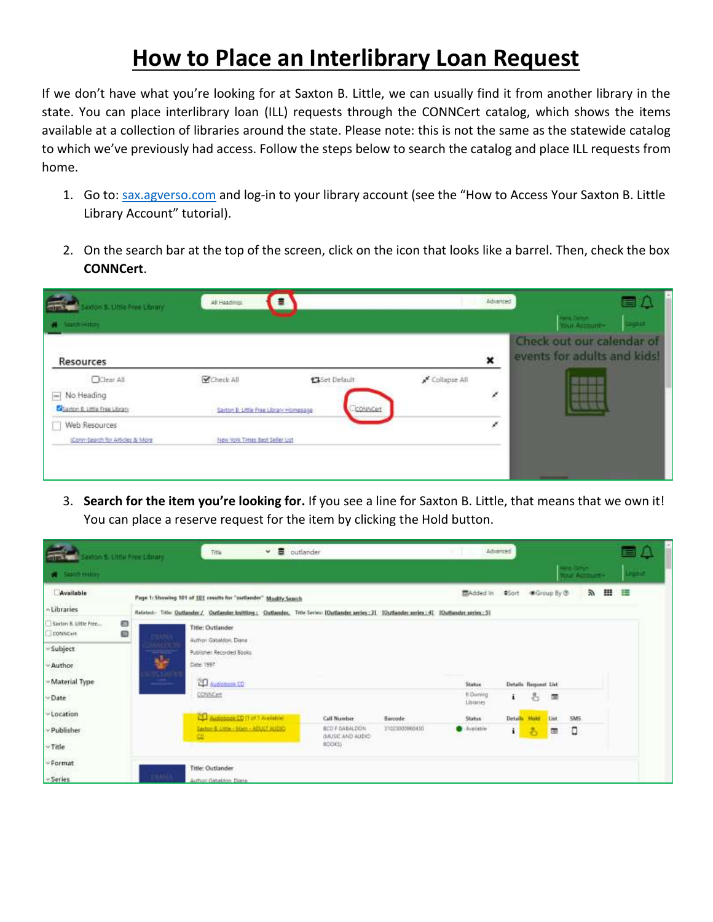## **How to Place an Interlibrary Loan Request**

If we don't have what you're looking for at Saxton B. Little, we can usually find it from another library in the state. You can place interlibrary loan (ILL) requests through the CONNCert catalog, which shows the items available at a collection of libraries around the state. Please note: this is not the same as the statewide catalog to which we've previously had access. Follow the steps below to search the catalog and place ILL requests from home.

- 1. Go to: [sax.agverso.com](file:///C:/Users/admin/Documents/Tutorials/sax.agverso.com) and log-in to your library account (see the "How to Access Your Saxton B. Little Library Account" tutorial).
- 2. On the search bar at the top of the screen, click on the icon that looks like a barrel. Then, check the box **CONNCert**.

| Mor B. Utile Free Litminy.        | a<br>All Headlings                     |                |              | Advanced     | 目影                                                       |
|-----------------------------------|----------------------------------------|----------------|--------------|--------------|----------------------------------------------------------|
| <b>Santh Hittory</b><br>- 19      |                                        |                |              |              | <b>Harry Debuty</b><br><b>Light</b><br>Урыг Ассонле-     |
| Resources                         |                                        |                |              | $\mathbf{x}$ | Check out our calendar of<br>events for adults and kids! |
| OClear All                        | Check All                              | 13 Set Default | Collapse All |              |                                                          |
| Mo Heading                        |                                        |                |              | ł            |                                                          |
| Santon E. Little Free Library     | Sayton B. Little Free Library Homepage | <b>CONNOrt</b> |              |              |                                                          |
| Web Resources<br>Ш                |                                        |                |              | ř.           |                                                          |
| (Conn-Search for Articles & More) | New York Times Best Seller List        |                |              |              |                                                          |

3. **Search for the item you're looking for.** If you see a line for Saxton B. Little, that means that we own it! You can place a reserve request for the item by clicking the Hold button.

| Saidon B. Little Free Library                |                     | Title                                                            | $\vee$ $\blacksquare$ outlander           |                |                              | Advanced<br><b>MAY 11</b> |                                            |      |            |   | 目凸       |
|----------------------------------------------|---------------------|------------------------------------------------------------------|-------------------------------------------|----------------|------------------------------|---------------------------|--------------------------------------------|------|------------|---|----------|
| <b>W</b> Sales Holzy                         |                     |                                                                  |                                           |                |                              |                           | <b>HEIR CATUS</b><br><b>Nour Account -</b> |      |            |   | Logistic |
| Available                                    |                     | Page 1: Showing 101 of 101 results for "outlander" Modify Search |                                           |                | 图Added In \$Sort ●Group By ® |                           |                                            |      | a.         | ш | 橿        |
| - Libraries                                  |                     |                                                                  |                                           |                |                              |                           |                                            |      |            |   |          |
| Ð<br>Saxton B. Little Free.<br>ω<br>CONNCert |                     | Title: Outlander<br>Authori Gateldon, Elana                      |                                           |                |                              |                           |                                            |      |            |   |          |
| Subject                                      | <b><i>ASTER</i></b> | Publisher: Recorded Books                                        |                                           |                |                              |                           |                                            |      |            |   |          |
| - Author                                     | 蠸                   | Date: 1997                                                       |                                           |                |                              |                           |                                            |      |            |   |          |
| - Material Type                              | <b>ISANEX</b>       | CO Audiobable CD                                                 |                                           |                | Status.                      |                           | Details Request List                       |      |            |   |          |
| Date                                         |                     | CONNERT                                                          |                                           |                | 6 Chiming<br>Libraries       | $\mathbf{L}$              | 昌                                          | 国    |            |   |          |
| Location                                     |                     | Heinrich Thompson CD                                             | <b>Call Number</b>                        | Barcode        | <b>Status</b>                | Details Hold              |                                            | thit | <b>SMS</b> |   |          |
| v Publisher                                  |                     | Saston B. Little - Main - ADULT MUDIC-<br>₩                      | <b>BCD F GABALDON</b><br>INUSIC AND AUDIO | 11021000960430 | <b>O</b> Austable            | i.                        | 名                                          | 面    | ٥          |   |          |
| v Title                                      |                     |                                                                  | BOOKS)                                    |                |                              |                           |                                            |      |            |   |          |
| Format                                       |                     | Title: Outlander                                                 |                                           |                |                              |                           |                                            |      |            |   |          |
| v Series                                     | NAALL               | Author: Gabaldon, Diana                                          |                                           |                |                              |                           |                                            |      |            |   |          |